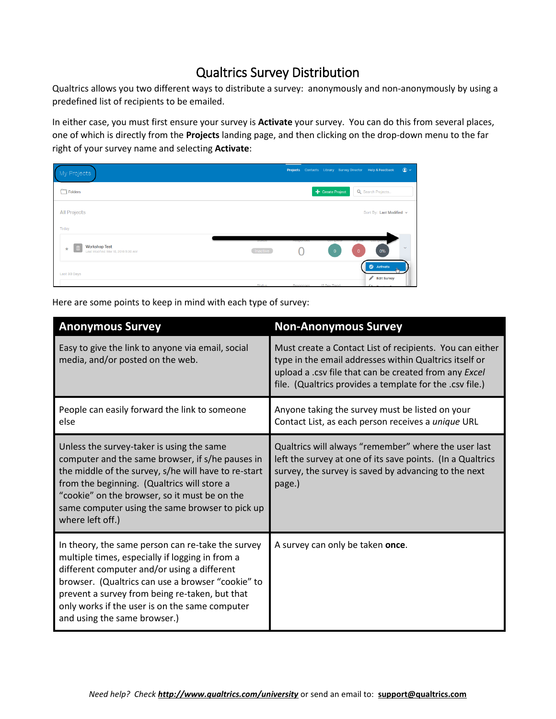# Qualtrics Survey Distribution

Qualtrics allows you two different ways to distribute a survey: anonymously and non-anonymously by using a predefined list of recipients to be emailed.

In either case, you must first ensure your survey is **Activate** your survey. You can do this from several places, one of which is directly from the **Projects** landing page, and then clicking on the drop-down menu to the far right of your survey name and selecting **Activate**:

| My Projects                                                               | $\circledcirc$<br>Projects Contacts Library Survey Director Help & Feedback                                                     |
|---------------------------------------------------------------------------|---------------------------------------------------------------------------------------------------------------------------------|
| M<br>Folders                                                              | Create Project<br>Q Search Projects                                                                                             |
| <b>All Projects</b><br>Today                                              | Sort By: Last Modified v                                                                                                        |
| <b>Workshop Test</b><br>目<br>$\pm$<br>Last Modified: Mar 18, 2016 9:30 AM | otatus<br><b>AGSDAIRSES</b><br><b>CONTROLS</b><br>rantian<br>$\checkmark$<br>Inactive<br>0%<br>$\overline{0}$<br>$\overline{0}$ |
| Last 30 Days                                                              | Activate<br>$\mathscr{L}$<br><b>Edit Survey</b><br>Chatue<br><b>Deepenees</b><br>12 Day Trand<br><b>CALCULATION</b>             |

Here are some points to keep in mind with each type of survey:

| <b>Anonymous Survey</b>                                                                                                                                                                                                                                                                                                                      | <b>Non-Anonymous Survey</b>                                                                                                                                                                                                             |
|----------------------------------------------------------------------------------------------------------------------------------------------------------------------------------------------------------------------------------------------------------------------------------------------------------------------------------------------|-----------------------------------------------------------------------------------------------------------------------------------------------------------------------------------------------------------------------------------------|
| Easy to give the link to anyone via email, social<br>media, and/or posted on the web.                                                                                                                                                                                                                                                        | Must create a Contact List of recipients. You can either<br>type in the email addresses within Qualtrics itself or<br>upload a .csv file that can be created from any Excel<br>file. (Qualtrics provides a template for the .csv file.) |
| People can easily forward the link to someone<br>else                                                                                                                                                                                                                                                                                        | Anyone taking the survey must be listed on your<br>Contact List, as each person receives a unique URL                                                                                                                                   |
| Unless the survey-taker is using the same<br>computer and the same browser, if s/he pauses in<br>the middle of the survey, s/he will have to re-start<br>from the beginning. (Qualtrics will store a<br>"cookie" on the browser, so it must be on the<br>same computer using the same browser to pick up<br>where left off.)                 | Qualtrics will always "remember" where the user last<br>left the survey at one of its save points. (In a Qualtrics<br>survey, the survey is saved by advancing to the next<br>page.)                                                    |
| In theory, the same person can re-take the survey<br>multiple times, especially if logging in from a<br>different computer and/or using a different<br>browser. (Qualtrics can use a browser "cookie" to<br>prevent a survey from being re-taken, but that<br>only works if the user is on the same computer<br>and using the same browser.) | A survey can only be taken once.                                                                                                                                                                                                        |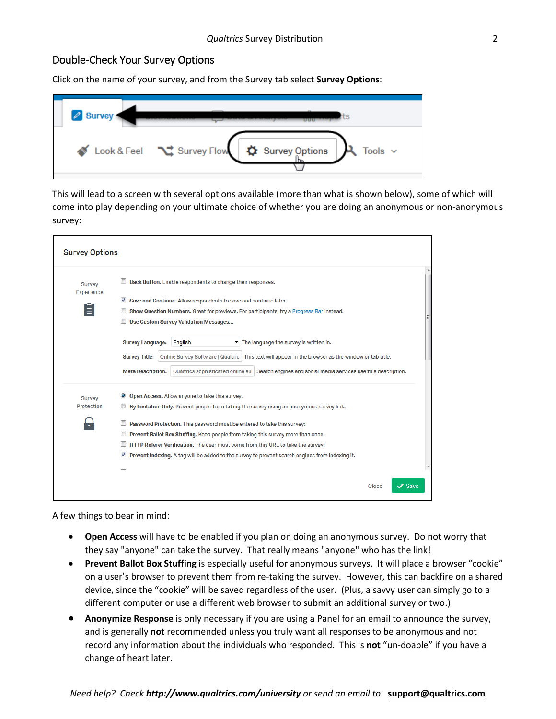### Double-Check Your Survey Options

Click on the name of your survey, and from the Survey tab select **Survey Options**:

| Look & Feel \ Survey Flow<br>Survey Options<br>Tools $\sim$ |
|-------------------------------------------------------------|

This will lead to a screen with several options available (more than what is shown below), some of which will come into play depending on your ultimate choice of whether you are doing an anonymous or non-anonymous survey:

| <b>Survey</b><br>Experience | Back Button. Enable respondents to change their responses.<br>V<br>Save and Continue. Allow respondents to save and continue later.<br>Show Question Numbers. Great for previews. For participants, try a Progress Bar instead.<br>Use Custom Survey Validation Messages                                                                                            |
|-----------------------------|---------------------------------------------------------------------------------------------------------------------------------------------------------------------------------------------------------------------------------------------------------------------------------------------------------------------------------------------------------------------|
|                             | $\blacktriangleright$ The language the survey is written in.<br><b>Survey Language:</b><br>English<br>Online Survey Software   Qualtric   This text will appear in the browser as the window or tab title.<br><b>Survey Title:</b><br><b>Meta Description:</b><br>Qualtrics sophisticated online sur Search engines and social media services use this description. |
| <b>Survey</b><br>Protection | Open Access. Allow anyone to take this survey.<br>$\circledcirc$<br>By Invitation Only. Prevent people from taking the survey using an anonymous survey link.                                                                                                                                                                                                       |
|                             | Password Protection. This password must be entered to take this survey:                                                                                                                                                                                                                                                                                             |
|                             | Prevent Ballot Box Stuffing. Keep people from taking this survey more than once.                                                                                                                                                                                                                                                                                    |
|                             | HTTP Referer Verification. The user must come from this URL to take the survey:                                                                                                                                                                                                                                                                                     |
|                             | Prevent Indexing. A tag will be added to the survey to prevent search engines from indexing it.                                                                                                                                                                                                                                                                     |

A few things to bear in mind:

- **Open Access** will have to be enabled if you plan on doing an anonymous survey. Do not worry that they say "anyone" can take the survey. That really means "anyone" who has the link!
- **Prevent Ballot Box Stuffing** is especially useful for anonymous surveys. It will place a browser "cookie" on a user's browser to prevent them from re-taking the survey. However, this can backfire on a shared device, since the "cookie" will be saved regardless of the user. (Plus, a savvy user can simply go to a different computer or use a different web browser to submit an additional survey or two.)
- **Anonymize Response** is only necessary if you are using a Panel for an email to announce the survey, and is generally **not** recommended unless you truly want all responses to be anonymous and not record any information about the individuals who responded. This is **not** "un-doable" if you have a change of heart later.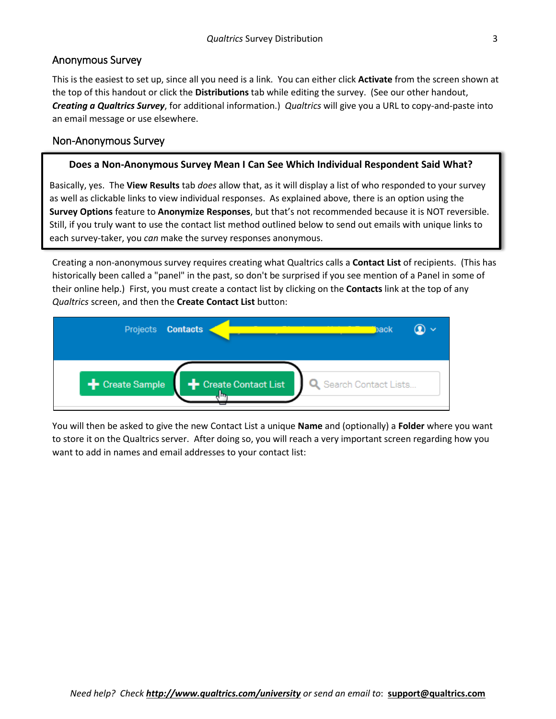## Anonymous Survey

This is the easiest to set up, since all you need is a link. You can either click **Activate** from the screen shown at the top of this handout or click the **Distributions** tab while editing the survey. (See our other handout, *Creating a Qualtrics Survey*, for additional information.) *Qualtrics* will give you a URL to copy-and-paste into an email message or use elsewhere.

## Non-Anonymous Survey

#### **Does a Non-Anonymous Survey Mean I Can See Which Individual Respondent Said What?**

Basically, yes. The **View Results** tab *does* allow that, as it will display a list of who responded to your survey as well as clickable links to view individual responses. As explained above, there is an option using the **Survey Options** feature to **Anonymize Responses**, but that's not recommended because it is NOT reversible. Still, if you truly want to use the contact list method outlined below to send out emails with unique links to each survey-taker, you *can* make the survey responses anonymous.

Creating a non-anonymous survey requires creating what Qualtrics calls a **Contact List** of recipients. (This has historically been called a "panel" in the past, so don't be surprised if you see mention of a Panel in some of their online help.) First, you must create a contact list by clicking on the **Contacts** link at the top of any *Qualtrics* screen, and then the **Create Contact List** button:



You will then be asked to give the new Contact List a unique **Name** and (optionally) a **Folder** where you want to store it on the Qualtrics server. After doing so, you will reach a very important screen regarding how you want to add in names and email addresses to your contact list: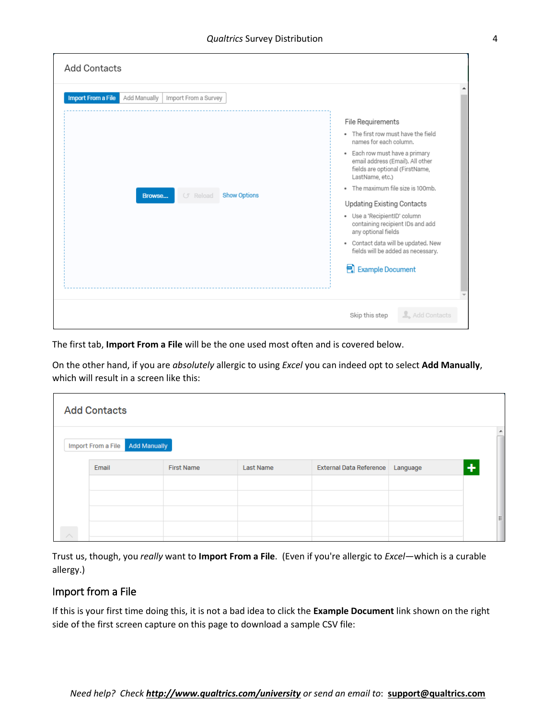| <b>Add Contacts</b>                                               |                                                                                                                                                                        |
|-------------------------------------------------------------------|------------------------------------------------------------------------------------------------------------------------------------------------------------------------|
| <b>Import From a File</b><br>Add Manually<br>Import From a Survey | File Requirements                                                                                                                                                      |
|                                                                   | . The first row must have the field<br>names for each column.<br>· Each row must have a primary<br>email address (Email). All other<br>fields are optional (FirstName, |
| <b>Show Options</b><br><b>G</b> Reload<br>Browse                  | LastName, etc.)<br>. The maximum file size is 100mb.<br>Updating Existing Contacts<br>· Use a 'RecipientID' column                                                     |
|                                                                   | containing recipient IDs and add<br>any optional fields<br>• Contact data will be updated. New<br>fields will be added as necessary.                                   |
|                                                                   | Example Document                                                                                                                                                       |
|                                                                   | L. Add Contacts<br>Skip this step                                                                                                                                      |

The first tab, **Import From a File** will be the one used most often and is covered below.

On the other hand, if you are *absolutely* allergic to using *Excel* you can indeed opt to select **Add Manually**, which will result in a screen like this:

|                    | <b>Add Contacts</b>                       |                   |                  |                                |          |          |
|--------------------|-------------------------------------------|-------------------|------------------|--------------------------------|----------|----------|
|                    | <b>Add Manually</b><br>Import From a File |                   |                  |                                |          |          |
|                    | Email                                     | <b>First Name</b> | <b>Last Name</b> | <b>External Data Reference</b> | Language | ÷        |
|                    |                                           |                   |                  |                                |          |          |
|                    |                                           |                   |                  |                                |          |          |
|                    |                                           |                   |                  |                                |          | $\equiv$ |
| $\curvearrowright$ |                                           |                   |                  |                                |          |          |

Trust us, though, you *really* want to **Import From a File**. (Even if you're allergic to *Excel*—which is a curable allergy.)

## Import from a File

If this is your first time doing this, it is not a bad idea to click the **Example Document** link shown on the right side of the first screen capture on this page to download a sample CSV file: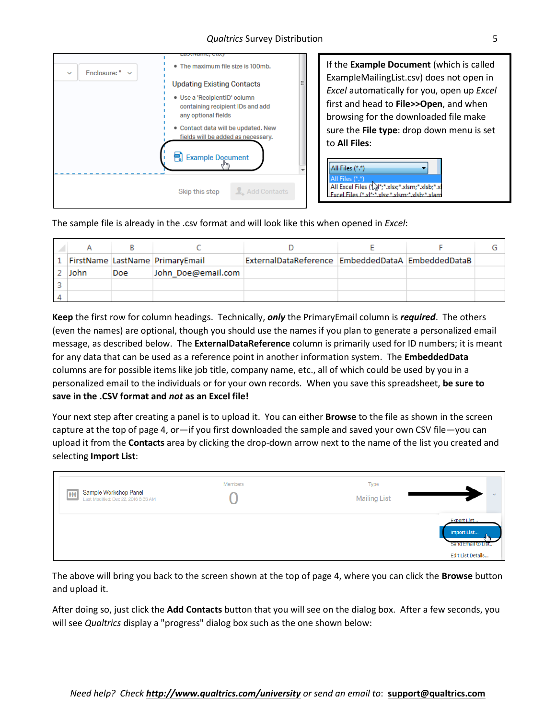

The sample file is already in the .csv format and will look like this when opened in *Excel*:

|      |     | 1   FirstName   LastName   PrimaryEmail | ExternalDataReference   EmbeddedDataA   EmbeddedDataB |  |  |
|------|-----|-----------------------------------------|-------------------------------------------------------|--|--|
| John | Doe | John_Doe@email.com                      |                                                       |  |  |
|      |     |                                         |                                                       |  |  |
|      |     |                                         |                                                       |  |  |

**Keep** the first row for column headings. Technically, *only* the PrimaryEmail column is *required*. The others (even the names) are optional, though you should use the names if you plan to generate a personalized email message, as described below. The **ExternalDataReference** column is primarily used for ID numbers; it is meant for any data that can be used as a reference point in another information system. The **EmbeddedData** columns are for possible items like job title, company name, etc., all of which could be used by you in a personalized email to the individuals or for your own records. When you save this spreadsheet, **be sure to save in the .CSV format and** *not* **as an Excel file!**

Your next step after creating a panel is to upload it. You can either **Browse** to the file as shown in the screen capture at the top of page 4, or—if you first downloaded the sample and saved your own CSV file—you can upload it from the **Contacts** area by clicking the drop-down arrow next to the name of the list you created and selecting **Import List**:

| Sample Workshop Panel<br>m<br>Last Modified: Dec 22, 2016 8:35 AM | Members | Type<br><b>Mailing List</b> | $\sim$                                                                |
|-------------------------------------------------------------------|---------|-----------------------------|-----------------------------------------------------------------------|
|                                                                   |         |                             | Export List<br>Import List<br>Send Email to List<br>Edit List Details |

The above will bring you back to the screen shown at the top of page 4, where you can click the **Browse** button and upload it.

After doing so, just click the **Add Contacts** button that you will see on the dialog box. After a few seconds, you will see *Qualtrics* display a "progress" dialog box such as the one shown below: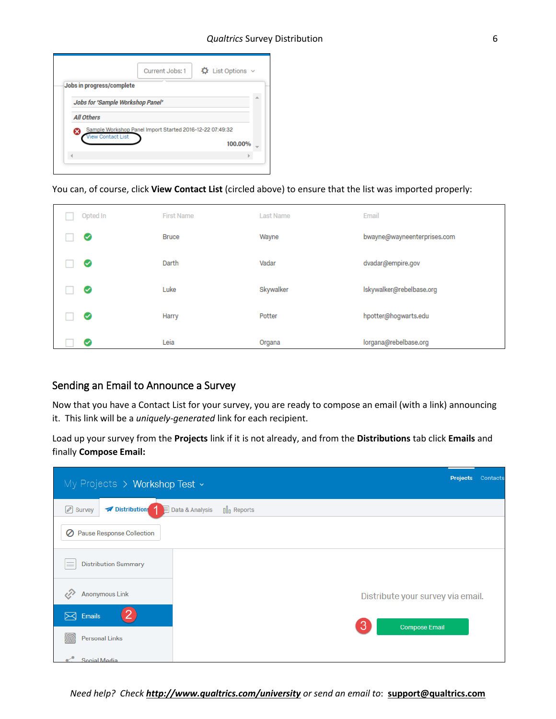|   |                                  | Current Jobs: 1                                          |  | $\ddot{\mathbf{\Omega}}$ List Options $\sim$ |  |
|---|----------------------------------|----------------------------------------------------------|--|----------------------------------------------|--|
|   | Jobs in progress/complete        |                                                          |  |                                              |  |
|   | Jobs for 'Sample Workshop Panel' |                                                          |  |                                              |  |
|   | <b>All Others</b>                |                                                          |  |                                              |  |
| Ø | <b>View Contact List</b>         | Sample Workshop Panel Import Started 2016-12-22 07:49:32 |  |                                              |  |
|   |                                  |                                                          |  | 100.00%                                      |  |
|   |                                  |                                                          |  |                                              |  |

#### You can, of course, click **View Contact List** (circled above) to ensure that the list was imported properly:

| Opted In | <b>First Name</b> | <b>Last Name</b> | Email                       |
|----------|-------------------|------------------|-----------------------------|
| Ø        | <b>Bruce</b>      | Wayne            | bwayne@wayneenterprises.com |
| ల        | Darth             | Vadar            | dvadar@empire.gov           |
| ల        | Luke              | Skywalker        | Iskywalker@rebelbase.org    |
| ◙        | Harry             | Potter           | hpotter@hogwarts.edu        |
| ✅        | Leia              | Organa           | lorgana@rebelbase.org       |

## Sending an Email to Announce a Survey

Now that you have a Contact List for your survey, you are ready to compose an email (with a link) announcing it. This link will be a *uniquely-generated* link for each recipient.

Load up your survey from the **Projects** link if it is not already, and from the **Distributions** tab click **Emails** and finally **Compose Email:**

| My Projects > Workshop Test ~         |                                                                             | <b>Projects</b><br>Contacts       |
|---------------------------------------|-----------------------------------------------------------------------------|-----------------------------------|
| Distributions 1<br>8 Survey<br>Ħ      | Data & Analysis<br>$\left[\begin{matrix}\right]\end{matrix}\right]$ Reports |                                   |
| <b>Pause Response Collection</b><br>Ø |                                                                             |                                   |
| <b>Distribution Summary</b><br>≡      |                                                                             |                                   |
| <b>Anonymous Link</b>                 |                                                                             | Distribute your survey via email. |
| Emails<br>⊠                           |                                                                             | 3                                 |
| <b>Personal Links</b>                 |                                                                             | <b>Compose Email</b>              |
| Social Media                          |                                                                             |                                   |

*Need help? Check <http://www.qualtrics.com/university> or send an email to*: **[support@qualtrics.com](mailto:support@qualtrics.com)**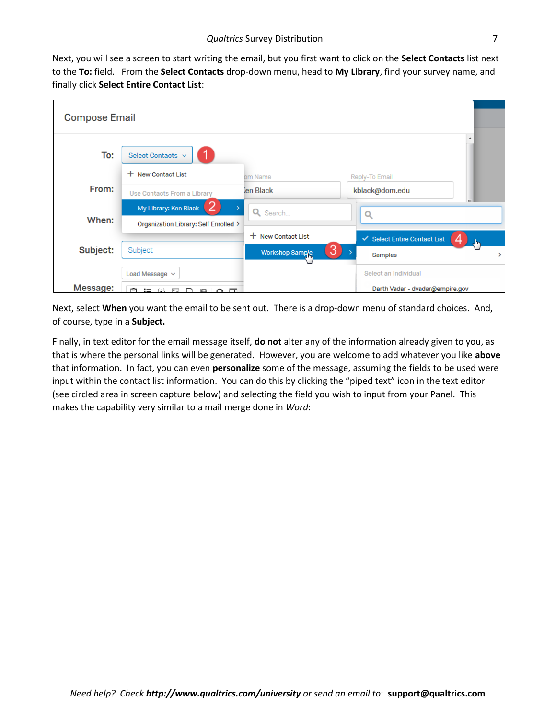Next, you will see a screen to start writing the email, but you first want to click on the **Select Contacts** list next to the **To:** field. From the **Select Contacts** drop-down menu, head to **My Library**, find your survey name, and finally click **Select Entire Contact List**:

| <b>Compose Email</b> |                                                                |                      |                                   |
|----------------------|----------------------------------------------------------------|----------------------|-----------------------------------|
| To:                  | Select Contacts v                                              |                      |                                   |
|                      | + New Contact List                                             | om Name              | Reply-To Email                    |
| From:                | Use Contacts From a Library                                    | len Black            | kblack@dom.edu                    |
| When:                | My Library: Ken Black<br>Organization Library: Self Enrolled > | Q Search             | Q                                 |
|                      |                                                                | + New Contact List   | ✔ Select Entire Contact List<br>╖ |
| Subject:             | Subject                                                        | 3<br>Workshop Sample | Samples<br>5                      |
|                      | Load Message v                                                 |                      | Select an Individual              |
| Message:             | ren i<br>$\mathbf{I} = \{ \mathbf{a} \}$ . For<br>⌒<br>80 Q m  |                      | Darth Vadar - dvadar@empire.gov   |

Next, select **When** you want the email to be sent out. There is a drop-down menu of standard choices. And, of course, type in a **Subject.**

Finally, in text editor for the email message itself, **do not** alter any of the information already given to you, as that is where the personal links will be generated. However, you are welcome to add whatever you like **above** that information. In fact, you can even **personalize** some of the message, assuming the fields to be used were input within the contact list information. You can do this by clicking the "piped text" icon in the text editor (see circled area in screen capture below) and selecting the field you wish to input from your Panel. This makes the capability very similar to a mail merge done in *Word*: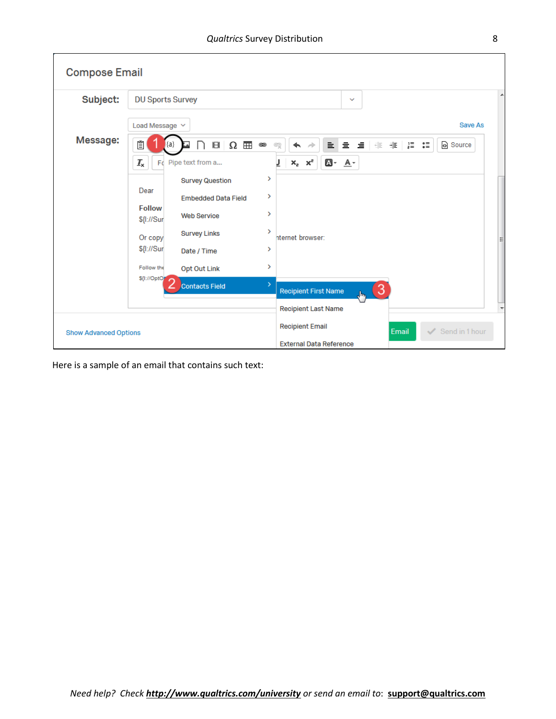| <b>Compose Email</b>         |                                                                                                                 |
|------------------------------|-----------------------------------------------------------------------------------------------------------------|
| Subject:                     | <b>DU Sports Survey</b><br>$\checkmark$                                                                         |
|                              | Load Message $\vee$<br>Save As                                                                                  |
| Message:                     | Ĩ<br>$\Omega$ $\boxplus$<br><b>非理量:</b><br>Source<br>亖<br>$\equiv$ $\top$<br>8<br>⊜<br>亖<br>eş<br>÷<br>{a}<br>↞ |
|                              | $x_e$ $x_e$<br>$\mathbf{I}_{\mathsf{x}}$<br>$\mathbf{A}$ - $\mathbf{A}$ -<br>Fo Pipe text from a                |
|                              | ><br><b>Survey Question</b><br>Dear<br>>                                                                        |
|                              | <b>Embedded Data Field</b><br><b>Follow</b><br>$\rightarrow$<br><b>Web Service</b><br>\${I://Sur                |
|                              | $\rightarrow$<br><b>Survey Links</b><br>hternet browser:<br>Or copy                                             |
|                              | \${I://Sur<br>><br>Date / Time                                                                                  |
|                              | ><br>Follow the<br><b>Opt Out Link</b><br>S{I://OptO                                                            |
|                              | $\rightarrow$<br><b>Contacts Field</b><br>$\bullet$<br><b>Recipient First Name</b><br>dh,                       |
|                              | <b>Recipient Last Name</b>                                                                                      |
| <b>Show Advanced Options</b> | <b>Recipient Email</b><br>$\checkmark$<br>Send in 1 hour<br>Email                                               |
|                              | <b>External Data Reference</b>                                                                                  |

Here is a sample of an email that contains such text: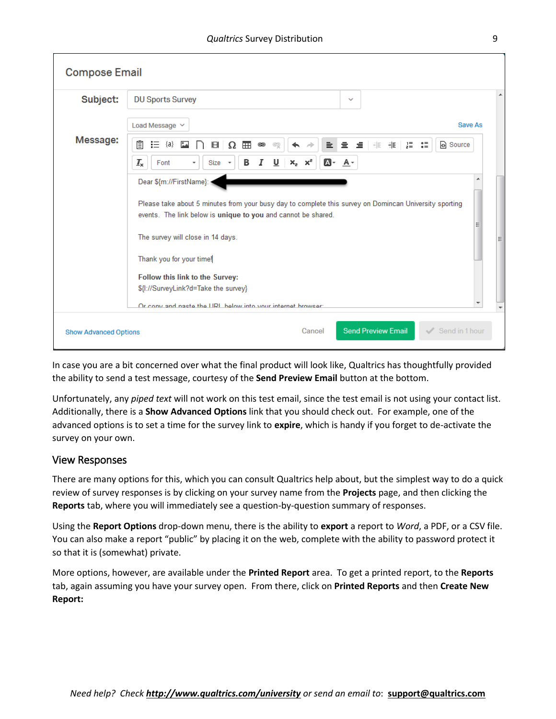| <b>Compose Email</b>         |                                                                                                                                                                                                                           |
|------------------------------|---------------------------------------------------------------------------------------------------------------------------------------------------------------------------------------------------------------------------|
| Subject:                     | <b>DU Sports Survey</b><br>$\checkmark$                                                                                                                                                                                   |
|                              | Save As<br>Load Message $\vee$                                                                                                                                                                                            |
| Message:                     | Ĕ<br>量量<br>${a}$<br>6월<br>HE HE SE<br>這<br>$\blacksquare$<br>Source<br>$\stackrel{\bullet}{\triangle}$<br>亖<br>8<br>Ω<br>⊜<br>et<br>$I_{\rm x}$<br>$x_e$ $x_e$<br>$\mathbf{A}$ - $\mathbf{A}$ -<br>υ<br>в<br>Font<br>Size |
|                              | Dear \${m://FirstName}:<br>Please take about 5 minutes from your busy day to complete this survey on Domincan University sporting<br>events. The link below is unique to you and cannot be shared.                        |
|                              | The survey will close in 14 days.<br>Thank you for your time!<br>Follow this link to the Survey:<br>\${I://SurveyLink?d=Take the survey}                                                                                  |
|                              | Or conv and naste the LIRL below into your internet browser:                                                                                                                                                              |
| <b>Show Advanced Options</b> | <b>Send Preview Email</b><br>Send in 1 hour<br>Cancel                                                                                                                                                                     |

In case you are a bit concerned over what the final product will look like, Qualtrics has thoughtfully provided the ability to send a test message, courtesy of the **Send Preview Email** button at the bottom.

Unfortunately, any *piped text* will not work on this test email, since the test email is not using your contact list. Additionally, there is a **Show Advanced Options** link that you should check out. For example, one of the advanced options is to set a time for the survey link to **expire**, which is handy if you forget to de-activate the survey on your own.

#### View Responses

There are many options for this, which you can consult Qualtrics help about, but the simplest way to do a quick review of survey responses is by clicking on your survey name from the **Projects** page, and then clicking the **Reports** tab, where you will immediately see a question-by-question summary of responses.

Using the **Report Options** drop-down menu, there is the ability to **export** a report to *Word*, a PDF, or a CSV file. You can also make a report "public" by placing it on the web, complete with the ability to password protect it so that it is (somewhat) private.

More options, however, are available under the **Printed Report** area. To get a printed report, to the **Reports** tab, again assuming you have your survey open. From there, click on **Printed Reports** and then **Create New Report:**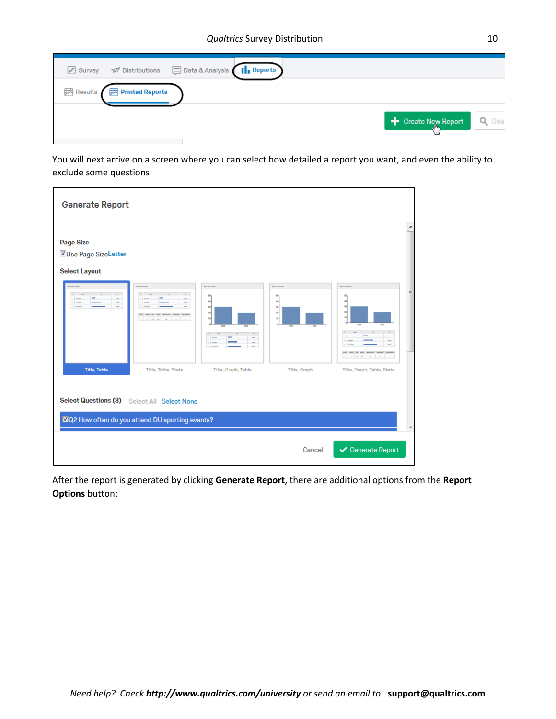| 2 Survey <b>Ø</b> Distributions ■ Data & Analysis II Reports |                                  |
|--------------------------------------------------------------|----------------------------------|
| Results Finted Reports                                       |                                  |
|                                                              | <b>+</b> Create New Report Q Sea |

You will next arrive on a screen where you can select how detailed a report you want, and even the ability to exclude some questions:

| <b>Generate Report</b>                                                         |                                                                           |                                                |                            |                            |   |
|--------------------------------------------------------------------------------|---------------------------------------------------------------------------|------------------------------------------------|----------------------------|----------------------------|---|
| <b>Page Size</b><br>Use Page SizeLetter<br><b>Select Layout</b><br>-<br>-<br>÷ |                                                                           | 50 <sub>1</sub><br>40<br>$\infty$<br>20<br>to: | 50<br>40<br>30<br>20<br>50 | 50<br>40<br>30<br>$\infty$ | Ξ |
| <b>Title, Table</b>                                                            | Title, Table, Stats                                                       | Title, Graph, Table                            | Title, Graph               | Title, Graph, Table, State |   |
| <b>Select Questions (8)</b>                                                    | Select All Select None<br>2Q2 How often do you attend DU sporting events? |                                                |                            |                            |   |
|                                                                                |                                                                           |                                                | Cancel                     | Generate Report            |   |

After the report is generated by clicking **Generate Report**, there are additional options from the **Report Options** button: